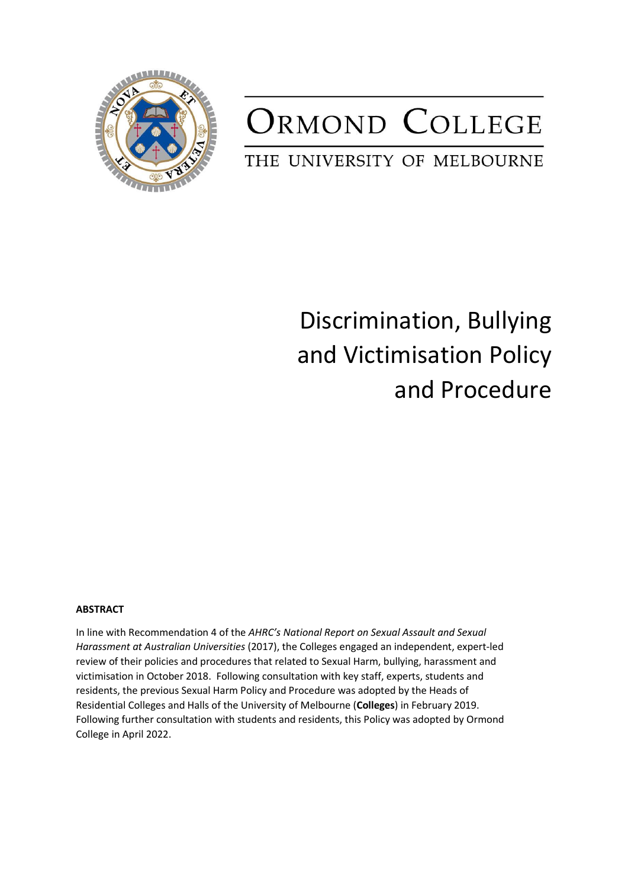

## ORMOND COLLEGE

## THE UNIVERSITY OF MELBOURNE

## Discrimination, Bullying and Victimisation Policy and Procedure

## **ABSTRACT**

In line with Recommendation 4 of the *AHRC's National Report on Sexual Assault and Sexual Harassment at Australian Universities* (2017), the Colleges engaged an independent, expert-led review of their policies and procedures that related to Sexual Harm, bullying, harassment and victimisation in October 2018. Following consultation with key staff, experts, students and residents, the previous Sexual Harm Policy and Procedure was adopted by the Heads of Residential Colleges and Halls of the University of Melbourne (**Colleges**) in February 2019. Following further consultation with students and residents, this Policy was adopted by Ormond College in April 2022.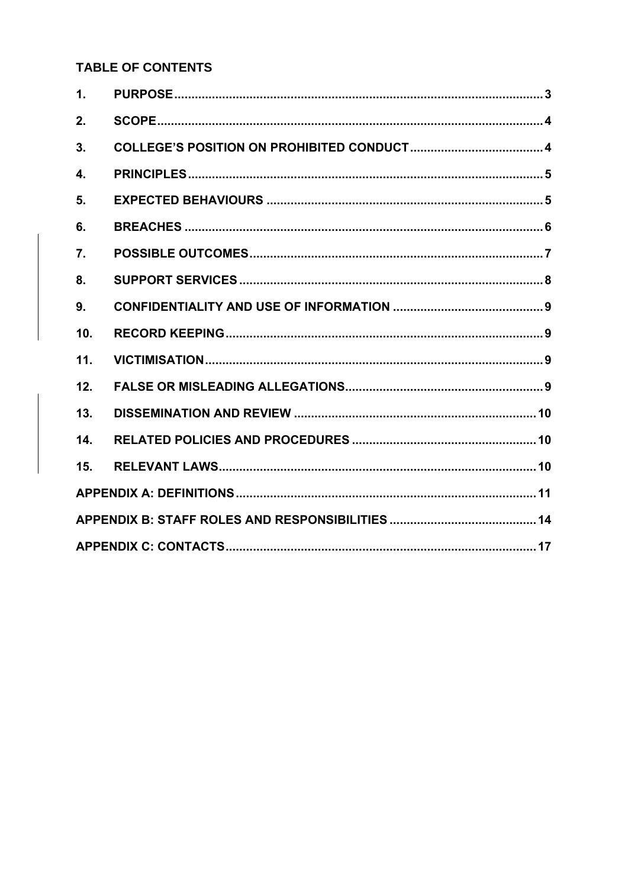## **TABLE OF CONTENTS**

| 1.  |  |  |  |
|-----|--|--|--|
| 2.  |  |  |  |
| 3.  |  |  |  |
| 4.  |  |  |  |
| 5.  |  |  |  |
| 6.  |  |  |  |
| 7.  |  |  |  |
| 8.  |  |  |  |
| 9.  |  |  |  |
| 10. |  |  |  |
| 11. |  |  |  |
| 12. |  |  |  |
| 13. |  |  |  |
| 14. |  |  |  |
| 15. |  |  |  |
|     |  |  |  |
|     |  |  |  |
|     |  |  |  |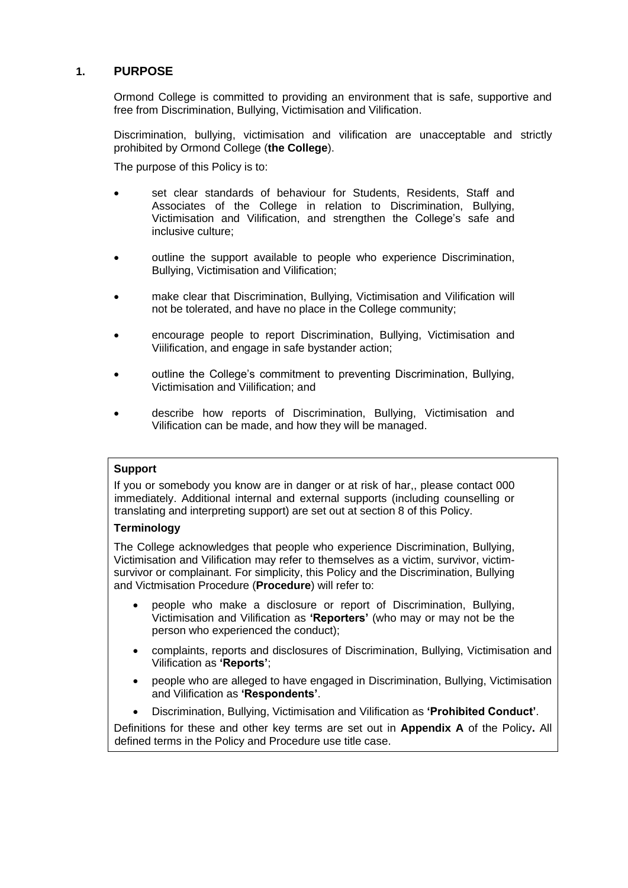## <span id="page-2-0"></span>**1. PURPOSE**

Ormond College is committed to providing an environment that is safe, supportive and free from Discrimination, Bullying, Victimisation and Vilification.

Discrimination, bullying, victimisation and vilification are unacceptable and strictly prohibited by Ormond College (**the College**).

The purpose of this Policy is to:

- set clear standards of behaviour for Students, Residents, Staff and Associates of the College in relation to Discrimination, Bullying, Victimisation and Vilification, and strengthen the College's safe and inclusive culture;
- outline the support available to people who experience Discrimination, Bullying, Victimisation and Vilification;
- make clear that Discrimination, Bullying, Victimisation and Vilification will not be tolerated, and have no place in the College community;
- encourage people to report Discrimination, Bullying, Victimisation and Viilification, and engage in safe bystander action;
- outline the College's commitment to preventing Discrimination, Bullying, Victimisation and Viilification; and
- describe how reports of Discrimination, Bullying, Victimisation and Vilification can be made, and how they will be managed.

## **Support**

If you or somebody you know are in danger or at risk of har,, please contact 000 immediately. Additional internal and external supports (including counselling or translating and interpreting support) are set out at section [8](#page-7-0) of this Policy.

## **Terminology**

The College acknowledges that people who experience Discrimination, Bullying, Victimisation and Vilification may refer to themselves as a victim, survivor, victimsurvivor or complainant. For simplicity, this Policy and the Discrimination, Bullying and Victmisation Procedure (**Procedure**) will refer to:

- people who make a disclosure or report of Discrimination, Bullying, Victimisation and Vilification as **'Reporters'** (who may or may not be the person who experienced the conduct);
- complaints, reports and disclosures of Discrimination, Bullying, Victimisation and Vilification as **'Reports'**;
- people who are alleged to have engaged in Discrimination, Bullying, Victimisation and Vilification as **'Respondents'**.
- Discrimination, Bullying, Victimisation and Vilification as **'Prohibited Conduct'**.

Definitions for these and other key terms are set out in **Appendix A** of the Policy**.** All defined terms in the Policy and Procedure use title case.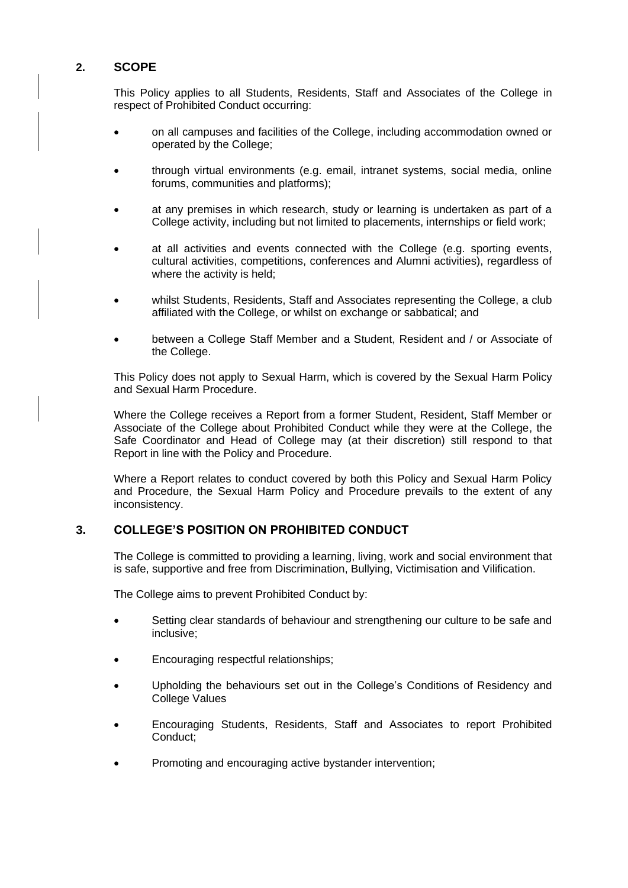## <span id="page-3-0"></span>**2. SCOPE**

This Policy applies to all Students, Residents, Staff and Associates of the College in respect of Prohibited Conduct occurring:

- on all campuses and facilities of the College, including accommodation owned or operated by the College;
- through virtual environments (e.g. email, intranet systems, social media, online forums, communities and platforms);
- at any premises in which research, study or learning is undertaken as part of a College activity, including but not limited to placements, internships or field work;
- at all activities and events connected with the College (e.g. sporting events, cultural activities, competitions, conferences and Alumni activities), regardless of where the activity is held;
- whilst Students, Residents, Staff and Associates representing the College, a club affiliated with the College, or whilst on exchange or sabbatical; and
- between a College Staff Member and a Student, Resident and / or Associate of the College.

This Policy does not apply to Sexual Harm, which is covered by the Sexual Harm Policy and Sexual Harm Procedure.

Where the College receives a Report from a former Student, Resident, Staff Member or Associate of the College about Prohibited Conduct while they were at the College, the Safe Coordinator and Head of College may (at their discretion) still respond to that Report in line with the Policy and Procedure.

Where a Report relates to conduct covered by both this Policy and Sexual Harm Policy and Procedure, the Sexual Harm Policy and Procedure prevails to the extent of any inconsistency.

## <span id="page-3-1"></span>**3. COLLEGE'S POSITION ON PROHIBITED CONDUCT**

The College is committed to providing a learning, living, work and social environment that is safe, supportive and free from Discrimination, Bullying, Victimisation and Vilification.

The College aims to prevent Prohibited Conduct by:

- Setting clear standards of behaviour and strengthening our culture to be safe and inclusive;
- Encouraging respectful relationships;
- Upholding the behaviours set out in the College's Conditions of Residency and College Values
- Encouraging Students, Residents, Staff and Associates to report Prohibited Conduct;
- Promoting and encouraging active bystander intervention;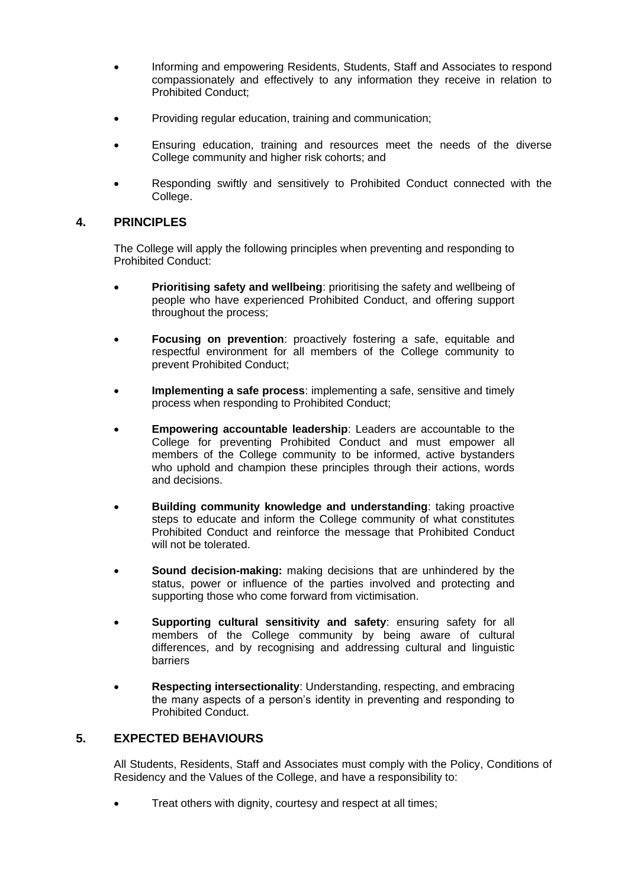- Informing and empowering Residents, Students, Staff and Associates to respond compassionately and effectively to any information they receive in relation to Prohibited Conduct;
- Providing regular education, training and communication;
- Ensuring education, training and resources meet the needs of the diverse College community and higher risk cohorts; and
- Responding swiftly and sensitively to Prohibited Conduct connected with the College.

## <span id="page-4-0"></span>**4. PRINCIPLES**

The College will apply the following principles when preventing and responding to Prohibited Conduct:

- **Prioritising safety and wellbeing:** prioritising the safety and wellbeing of people who have experienced Prohibited Conduct, and offering support throughout the process;
- **Focusing on prevention**: proactively fostering a safe, equitable and respectful environment for all members of the College community to prevent Prohibited Conduct;
- **Implementing a safe process:** implementing a safe, sensitive and timely process when responding to Prohibited Conduct;
- **Empowering accountable leadership**: Leaders are accountable to the College for preventing Prohibited Conduct and must empower all members of the College community to be informed, active bystanders who uphold and champion these principles through their actions, words and decisions.
- **Building community knowledge and understanding: taking proactive** steps to educate and inform the College community of what constitutes Prohibited Conduct and reinforce the message that Prohibited Conduct will not be tolerated.
- **Sound decision-making:** making decisions that are unhindered by the status, power or influence of the parties involved and protecting and supporting those who come forward from victimisation.
- **Supporting cultural sensitivity and safety**: ensuring safety for all members of the College community by being aware of cultural differences, and by recognising and addressing cultural and linguistic barriers
- **Respecting intersectionality**: Understanding, respecting, and embracing the many aspects of a person's identity in preventing and responding to Prohibited Conduct.

## <span id="page-4-1"></span>**5. EXPECTED BEHAVIOURS**

All Students, Residents, Staff and Associates must comply with the Policy, Conditions of Residency and the Values of the College, and have a responsibility to:

Treat others with dignity, courtesy and respect at all times;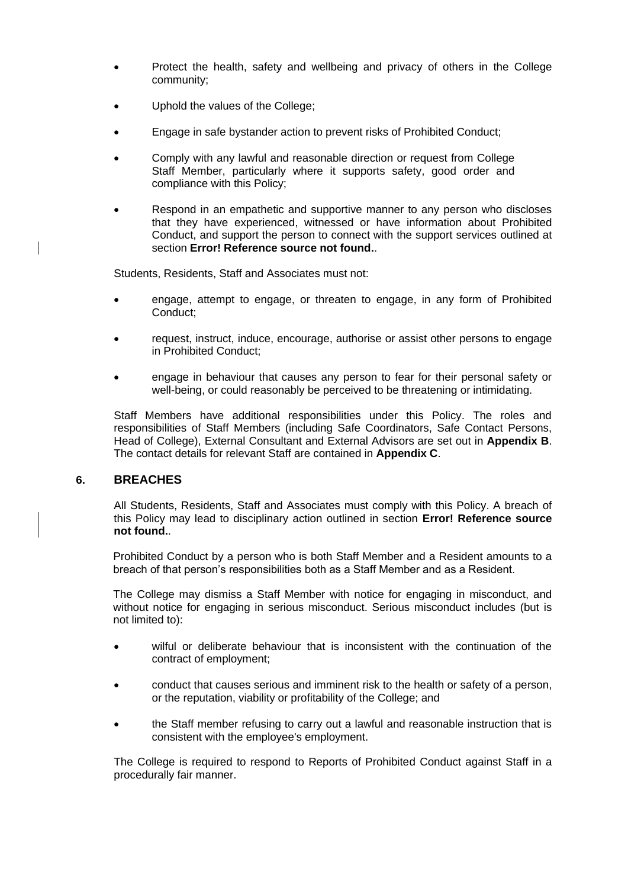- Protect the health, safety and wellbeing and privacy of others in the College community;
- Uphold the values of the College;
- Engage in safe bystander action to prevent risks of Prohibited Conduct;
- Comply with any lawful and reasonable direction or request from College Staff Member, particularly where it supports safety, good order and compliance with this Policy;
- Respond in an empathetic and supportive manner to any person who discloses that they have experienced, witnessed or have information about Prohibited Conduct, and support the person to connect with the support services outlined at section **Error! Reference source not found.**.

Students, Residents, Staff and Associates must not:

- engage, attempt to engage, or threaten to engage, in any form of Prohibited Conduct;
- request, instruct, induce, encourage, authorise or assist other persons to engage in Prohibited Conduct;
- engage in behaviour that causes any person to fear for their personal safety or well-being, or could reasonably be perceived to be threatening or intimidating.

Staff Members have additional responsibilities under this Policy. The roles and responsibilities of Staff Members (including Safe Coordinators, Safe Contact Persons, Head of College), External Consultant and External Advisors are set out in **Appendix B**. The contact details for relevant Staff are contained in **Appendix C**.

## <span id="page-5-0"></span>**6. BREACHES**

All Students, Residents, Staff and Associates must comply with this Policy. A breach of this Policy may lead to disciplinary action outlined in section **Error! Reference source not found.**.

Prohibited Conduct by a person who is both Staff Member and a Resident amounts to a breach of that person's responsibilities both as a Staff Member and as a Resident.

The College may dismiss a Staff Member with notice for engaging in misconduct, and without notice for engaging in serious misconduct. Serious misconduct includes (but is not limited to):

- wilful or deliberate behaviour that is inconsistent with the continuation of the contract of employment;
- conduct that causes serious and imminent risk to the health or safety of a person, or the reputation, viability or profitability of the College; and
- the Staff member refusing to carry out a lawful and reasonable instruction that is consistent with the employee's employment.

The College is required to respond to Reports of Prohibited Conduct against Staff in a procedurally fair manner.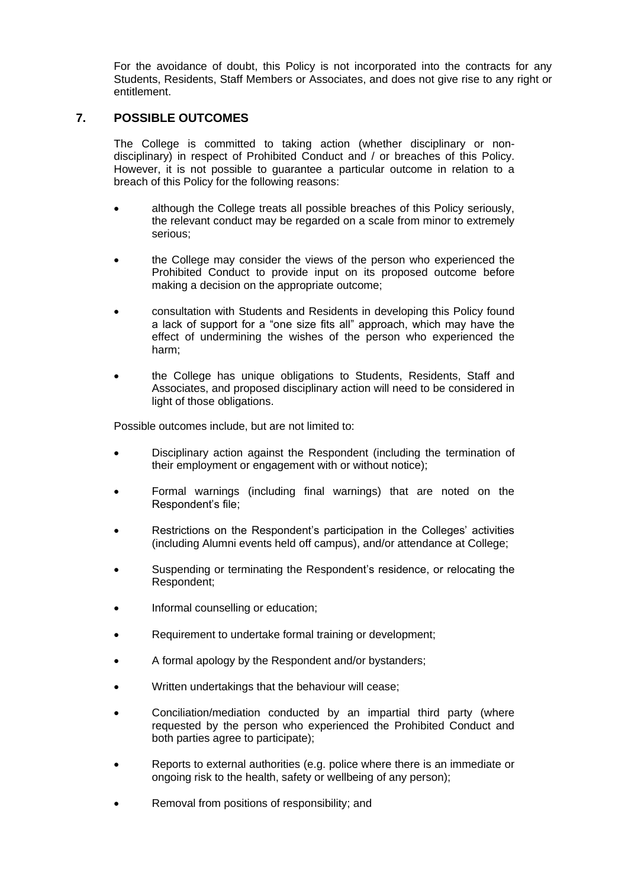For the avoidance of doubt, this Policy is not incorporated into the contracts for any Students, Residents, Staff Members or Associates, and does not give rise to any right or entitlement.

## <span id="page-6-0"></span>**7. POSSIBLE OUTCOMES**

The College is committed to taking action (whether disciplinary or nondisciplinary) in respect of Prohibited Conduct and / or breaches of this Policy. However, it is not possible to guarantee a particular outcome in relation to a breach of this Policy for the following reasons:

- although the College treats all possible breaches of this Policy seriously, the relevant conduct may be regarded on a scale from minor to extremely serious;
- the College may consider the views of the person who experienced the Prohibited Conduct to provide input on its proposed outcome before making a decision on the appropriate outcome;
- consultation with Students and Residents in developing this Policy found a lack of support for a "one size fits all" approach, which may have the effect of undermining the wishes of the person who experienced the harm;
- the College has unique obligations to Students, Residents, Staff and Associates, and proposed disciplinary action will need to be considered in light of those obligations.

Possible outcomes include, but are not limited to:

- Disciplinary action against the Respondent (including the termination of their employment or engagement with or without notice);
- Formal warnings (including final warnings) that are noted on the Respondent's file;
- Restrictions on the Respondent's participation in the Colleges' activities (including Alumni events held off campus), and/or attendance at College;
- Suspending or terminating the Respondent's residence, or relocating the Respondent;
- Informal counselling or education;
- Requirement to undertake formal training or development;
- A formal apology by the Respondent and/or bystanders;
- Written undertakings that the behaviour will cease;
- Conciliation/mediation conducted by an impartial third party (where requested by the person who experienced the Prohibited Conduct and both parties agree to participate);
- Reports to external authorities (e.g. police where there is an immediate or ongoing risk to the health, safety or wellbeing of any person);
- Removal from positions of responsibility; and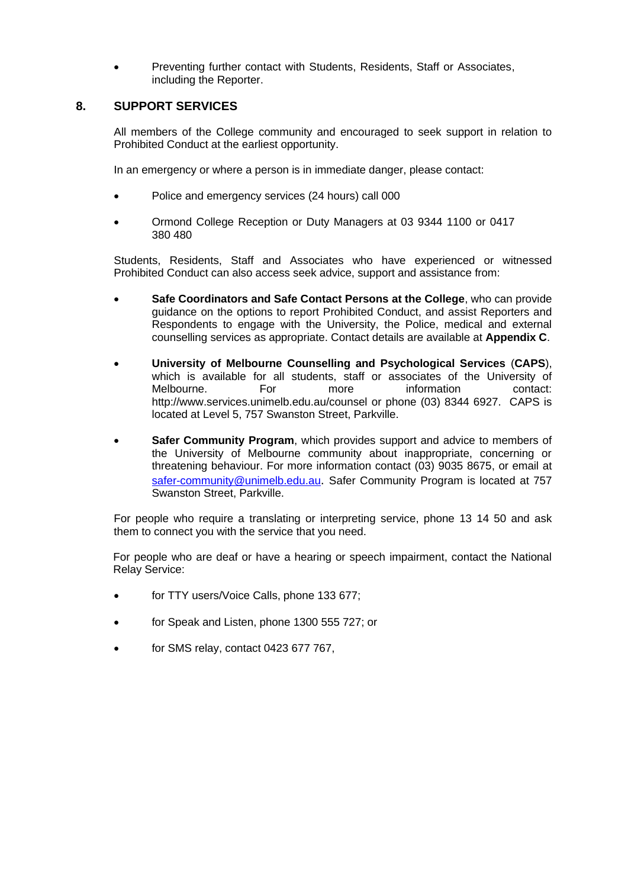• Preventing further contact with Students, Residents, Staff or Associates, including the Reporter.

## <span id="page-7-0"></span>**8. SUPPORT SERVICES**

All members of the College community and encouraged to seek support in relation to Prohibited Conduct at the earliest opportunity.

In an emergency or where a person is in immediate danger, please contact:

- Police and emergency services (24 hours) call 000
- Ormond College Reception or Duty Managers at 03 9344 1100 or 0417 380 480

Students, Residents, Staff and Associates who have experienced or witnessed Prohibited Conduct can also access seek advice, support and assistance from:

- **Safe Coordinators and Safe Contact Persons at the College**, who can provide guidance on the options to report Prohibited Conduct, and assist Reporters and Respondents to engage with the University, the Police, medical and external counselling services as appropriate. Contact details are available at **Appendix C**.
- **University of Melbourne Counselling and Psychological Services** (**CAPS**), which is available for all students, staff or associates of the University of Melbourne. For more information contact: <http://www.services.unimelb.edu.au/counsel> or phone (03) 8344 6927. CAPS is located at Level 5, 757 Swanston Street, Parkville.
- **Safer Community Program, which provides support and advice to members of** the University of Melbourne community about inappropriate, concerning or threatening behaviour. For more information contact (03) 9035 8675, or email at [safer-community@unimelb.edu.au](mailto:safer-community@unimelb.edu.au). Safer Community Program is located at 757 Swanston Street, Parkville.

For people who require a translating or interpreting service, phone 13 14 50 and ask them to connect you with the service that you need.

For people who are deaf or have a hearing or speech impairment, contact the National Relay Service:

- for TTY users/Voice Calls, phone 133 677;
- for Speak and Listen, phone 1300 555 727; or
- for SMS relay, contact 0423 677 767,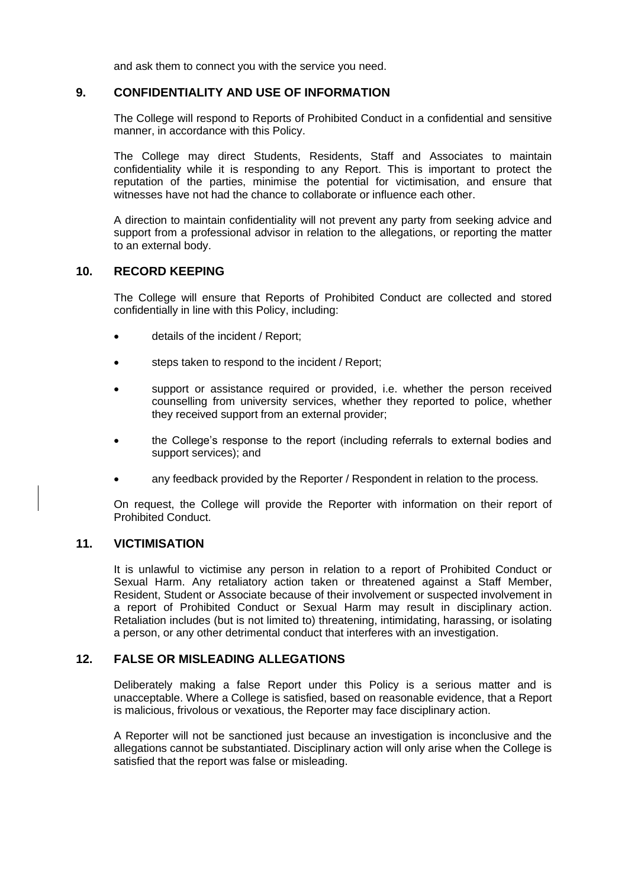and ask them to connect you with the service you need.

## <span id="page-8-0"></span>**9. CONFIDENTIALITY AND USE OF INFORMATION**

The College will respond to Reports of Prohibited Conduct in a confidential and sensitive manner, in accordance with this Policy.

The College may direct Students, Residents, Staff and Associates to maintain confidentiality while it is responding to any Report. This is important to protect the reputation of the parties, minimise the potential for victimisation, and ensure that witnesses have not had the chance to collaborate or influence each other.

A direction to maintain confidentiality will not prevent any party from seeking advice and support from a professional advisor in relation to the allegations, or reporting the matter to an external body.

## <span id="page-8-1"></span>**10. RECORD KEEPING**

The College will ensure that Reports of Prohibited Conduct are collected and stored confidentially in line with this Policy, including:

- details of the incident / Report:
- steps taken to respond to the incident / Report;
- support or assistance required or provided, i.e. whether the person received counselling from university services, whether they reported to police, whether they received support from an external provider;
- the College's response to the report (including referrals to external bodies and support services); and
- any feedback provided by the Reporter / Respondent in relation to the process.

On request, the College will provide the Reporter with information on their report of Prohibited Conduct.

## <span id="page-8-2"></span>**11. VICTIMISATION**

It is unlawful to victimise any person in relation to a report of Prohibited Conduct or Sexual Harm. Any retaliatory action taken or threatened against a Staff Member, Resident, Student or Associate because of their involvement or suspected involvement in a report of Prohibited Conduct or Sexual Harm may result in disciplinary action. Retaliation includes (but is not limited to) threatening, intimidating, harassing, or isolating a person, or any other detrimental conduct that interferes with an investigation.

## <span id="page-8-3"></span>**12. FALSE OR MISLEADING ALLEGATIONS**

Deliberately making a false Report under this Policy is a serious matter and is unacceptable. Where a College is satisfied, based on reasonable evidence, that a Report is malicious, frivolous or vexatious, the Reporter may face disciplinary action.

A Reporter will not be sanctioned just because an investigation is inconclusive and the allegations cannot be substantiated. Disciplinary action will only arise when the College is satisfied that the report was false or misleading.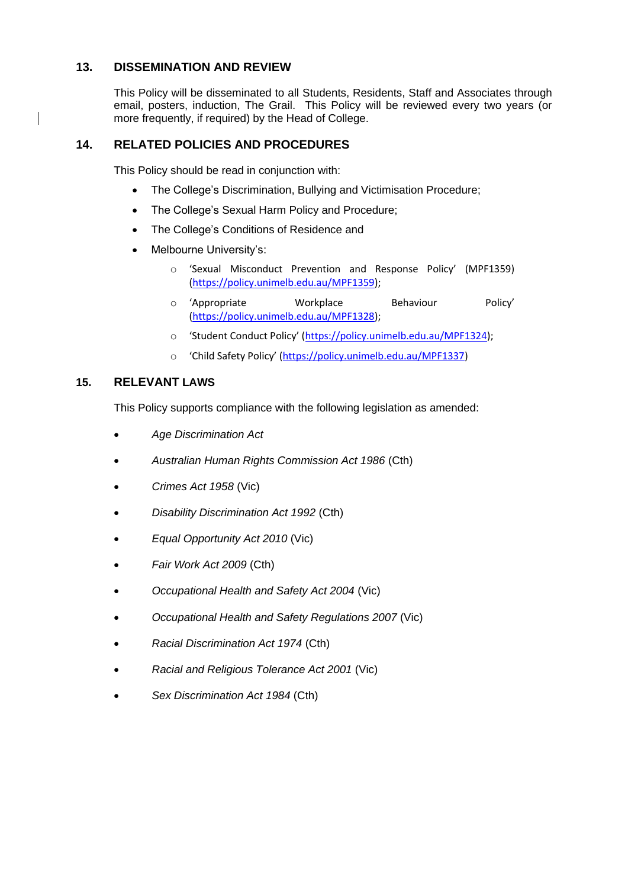## <span id="page-9-0"></span>**13. DISSEMINATION AND REVIEW**

This Policy will be disseminated to all Students, Residents, Staff and Associates through email, posters, induction, The Grail. This Policy will be reviewed every two years (or more frequently, if required) by the Head of College.

## <span id="page-9-1"></span>**14. RELATED POLICIES AND PROCEDURES**

This Policy should be read in conjunction with:

- The College's Discrimination, Bullying and Victimisation Procedure;
- The College's Sexual Harm Policy and Procedure;
- The College's Conditions of Residence and
- Melbourne University's:
	- o 'Sexual Misconduct Prevention and Response Policy' (MPF1359) [\(https://policy.unimelb.edu.au/MPF1359\)](https://policy.unimelb.edu.au/MPF1359);
	- o 'Appropriate Workplace Behaviour Policy' [\(https://policy.unimelb.edu.au/MPF1328\)](https://policy.unimelb.edu.au/MPF1328);
	- o 'Student Conduct Policy' ([https://policy.unimelb.edu.au/MPF1324\)](https://policy.unimelb.edu.au/MPF1324);
	- o 'Child Safety Policy' ([https://policy.unimelb.edu.au/MPF1337\)](https://policy.unimelb.edu.au/MPF1337)

## <span id="page-9-2"></span>**15. RELEVANT LAWS**

This Policy supports compliance with the following legislation as amended:

- *Age Discrimination Act*
- *Australian Human Rights Commission Act 1986* (Cth)
- *Crimes Act 1958* (Vic)
- *Disability Discrimination Act 1992* (Cth)
- *Equal Opportunity Act 2010* (Vic)
- *Fair Work Act 2009* (Cth)
- *Occupational Health and Safety Act 2004* (Vic)
- *Occupational Health and Safety Regulations 2007* (Vic)
- *Racial Discrimination Act 1974* (Cth)
- *Racial and Religious Tolerance Act 2001* (Vic)
- *Sex Discrimination Act 1984* (Cth)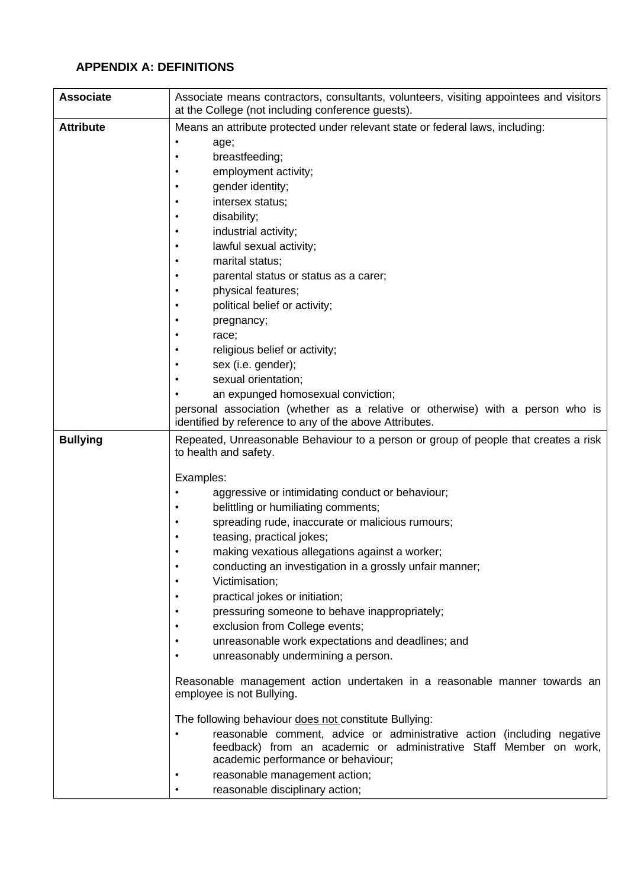## <span id="page-10-0"></span>**APPENDIX A: DEFINITIONS**

| <b>Associate</b> | Associate means contractors, consultants, volunteers, visiting appointees and visitors<br>at the College (not including conference guests). |
|------------------|---------------------------------------------------------------------------------------------------------------------------------------------|
| <b>Attribute</b> | Means an attribute protected under relevant state or federal laws, including:                                                               |
|                  | age;<br>٠                                                                                                                                   |
|                  | breastfeeding;                                                                                                                              |
|                  | employment activity;                                                                                                                        |
|                  | gender identity;                                                                                                                            |
|                  | intersex status:                                                                                                                            |
|                  | disability;<br>٠                                                                                                                            |
|                  | industrial activity;                                                                                                                        |
|                  | lawful sexual activity;                                                                                                                     |
|                  | marital status;                                                                                                                             |
|                  | parental status or status as a carer;                                                                                                       |
|                  | physical features;<br>٠                                                                                                                     |
|                  | political belief or activity;                                                                                                               |
|                  | pregnancy;                                                                                                                                  |
|                  | race;                                                                                                                                       |
|                  | religious belief or activity;                                                                                                               |
|                  | sex (i.e. gender);                                                                                                                          |
|                  | sexual orientation;                                                                                                                         |
|                  | an expunged homosexual conviction;<br>personal association (whether as a relative or otherwise) with a person who is                        |
|                  | identified by reference to any of the above Attributes.                                                                                     |
| <b>Bullying</b>  | Repeated, Unreasonable Behaviour to a person or group of people that creates a risk<br>to health and safety.                                |
|                  | Examples:                                                                                                                                   |
|                  | aggressive or intimidating conduct or behaviour;                                                                                            |
|                  | belittling or humiliating comments;                                                                                                         |
|                  | spreading rude, inaccurate or malicious rumours;                                                                                            |
|                  | teasing, practical jokes;                                                                                                                   |
|                  | making vexatious allegations against a worker;                                                                                              |
|                  | conducting an investigation in a grossly unfair manner;                                                                                     |
|                  | Victimisation;                                                                                                                              |
|                  | practical jokes or initiation;                                                                                                              |
|                  | pressuring someone to behave inappropriately;<br>٠                                                                                          |
|                  | exclusion from College events;<br>٠                                                                                                         |
|                  | unreasonable work expectations and deadlines; and<br>٠                                                                                      |
|                  | unreasonably undermining a person.<br>٠                                                                                                     |
|                  | Reasonable management action undertaken in a reasonable manner towards an<br>employee is not Bullying.                                      |
|                  | The following behaviour does not constitute Bullying:                                                                                       |
|                  | reasonable comment, advice or administrative action (including negative                                                                     |
|                  | feedback) from an academic or administrative Staff Member on work,<br>academic performance or behaviour;                                    |
|                  | reasonable management action;<br>٠                                                                                                          |
|                  | reasonable disciplinary action;<br>$\bullet$                                                                                                |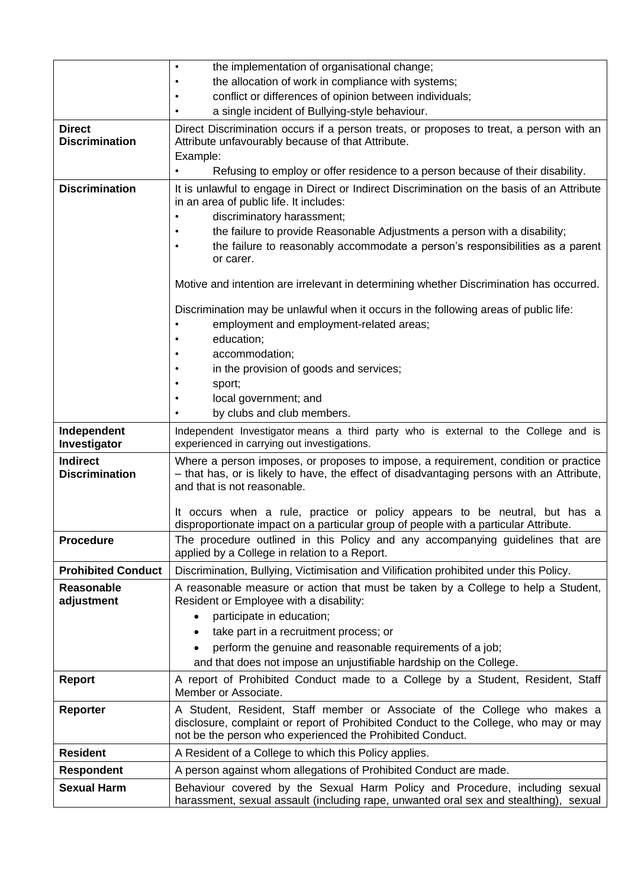|                                          | the implementation of organisational change;<br>$\bullet$                                                                                                                                                                      |
|------------------------------------------|--------------------------------------------------------------------------------------------------------------------------------------------------------------------------------------------------------------------------------|
|                                          | the allocation of work in compliance with systems;                                                                                                                                                                             |
|                                          | conflict or differences of opinion between individuals;<br>٠                                                                                                                                                                   |
|                                          | a single incident of Bullying-style behaviour.                                                                                                                                                                                 |
| <b>Direct</b><br><b>Discrimination</b>   | Direct Discrimination occurs if a person treats, or proposes to treat, a person with an<br>Attribute unfavourably because of that Attribute.<br>Example:                                                                       |
|                                          | Refusing to employ or offer residence to a person because of their disability.                                                                                                                                                 |
| <b>Discrimination</b>                    | It is unlawful to engage in Direct or Indirect Discrimination on the basis of an Attribute<br>in an area of public life. It includes:<br>discriminatory harassment;                                                            |
|                                          | the failure to provide Reasonable Adjustments a person with a disability;<br>the failure to reasonably accommodate a person's responsibilities as a parent<br>or carer.                                                        |
|                                          | Motive and intention are irrelevant in determining whether Discrimination has occurred.                                                                                                                                        |
|                                          | Discrimination may be unlawful when it occurs in the following areas of public life:<br>employment and employment-related areas;                                                                                               |
|                                          | education;                                                                                                                                                                                                                     |
|                                          | accommodation;                                                                                                                                                                                                                 |
|                                          | in the provision of goods and services;                                                                                                                                                                                        |
|                                          | sport;<br>local government; and                                                                                                                                                                                                |
|                                          | by clubs and club members.                                                                                                                                                                                                     |
| Independent                              | Independent Investigator means a third party who is external to the College and is                                                                                                                                             |
| Investigator                             | experienced in carrying out investigations.                                                                                                                                                                                    |
| <b>Indirect</b><br><b>Discrimination</b> | Where a person imposes, or proposes to impose, a requirement, condition or practice<br>- that has, or is likely to have, the effect of disadvantaging persons with an Attribute,<br>and that is not reasonable.                |
|                                          | It occurs when a rule, practice or policy appears to be neutral, but has a<br>disproportionate impact on a particular group of people with a particular Attribute.                                                             |
| <b>Procedure</b>                         | The procedure outlined in this Policy and any accompanying guidelines that are<br>applied by a College in relation to a Report.                                                                                                |
| <b>Prohibited Conduct</b>                | Discrimination, Bullying, Victimisation and Vilification prohibited under this Policy.                                                                                                                                         |
| <b>Reasonable</b><br>adjustment          | A reasonable measure or action that must be taken by a College to help a Student,<br>Resident or Employee with a disability:                                                                                                   |
|                                          | participate in education;                                                                                                                                                                                                      |
|                                          | take part in a recruitment process; or                                                                                                                                                                                         |
|                                          | perform the genuine and reasonable requirements of a job;<br>and that does not impose an unjustifiable hardship on the College.                                                                                                |
|                                          |                                                                                                                                                                                                                                |
| <b>Report</b>                            | A report of Prohibited Conduct made to a College by a Student, Resident, Staff<br>Member or Associate.                                                                                                                         |
| <b>Reporter</b>                          | A Student, Resident, Staff member or Associate of the College who makes a<br>disclosure, complaint or report of Prohibited Conduct to the College, who may or may<br>not be the person who experienced the Prohibited Conduct. |
| <b>Resident</b>                          | A Resident of a College to which this Policy applies.                                                                                                                                                                          |
| <b>Respondent</b>                        | A person against whom allegations of Prohibited Conduct are made.                                                                                                                                                              |
| <b>Sexual Harm</b>                       | Behaviour covered by the Sexual Harm Policy and Procedure, including sexual<br>harassment, sexual assault (including rape, unwanted oral sex and stealthing), sexual                                                           |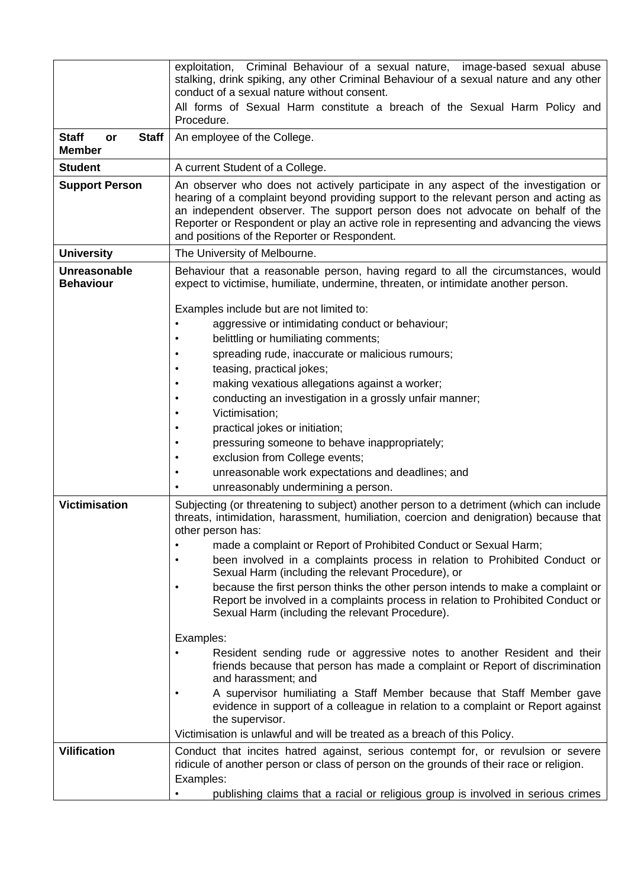|                                                     | exploitation, Criminal Behaviour of a sexual nature, image-based sexual abuse<br>stalking, drink spiking, any other Criminal Behaviour of a sexual nature and any other<br>conduct of a sexual nature without consent.                                                                                                                                                                                                                                                                                                                                                                                                                                                                                                                                                        |
|-----------------------------------------------------|-------------------------------------------------------------------------------------------------------------------------------------------------------------------------------------------------------------------------------------------------------------------------------------------------------------------------------------------------------------------------------------------------------------------------------------------------------------------------------------------------------------------------------------------------------------------------------------------------------------------------------------------------------------------------------------------------------------------------------------------------------------------------------|
|                                                     | All forms of Sexual Harm constitute a breach of the Sexual Harm Policy and<br>Procedure.                                                                                                                                                                                                                                                                                                                                                                                                                                                                                                                                                                                                                                                                                      |
| <b>Staff</b><br><b>Staff</b><br>or<br><b>Member</b> | An employee of the College.                                                                                                                                                                                                                                                                                                                                                                                                                                                                                                                                                                                                                                                                                                                                                   |
| <b>Student</b>                                      | A current Student of a College.                                                                                                                                                                                                                                                                                                                                                                                                                                                                                                                                                                                                                                                                                                                                               |
| <b>Support Person</b>                               | An observer who does not actively participate in any aspect of the investigation or<br>hearing of a complaint beyond providing support to the relevant person and acting as<br>an independent observer. The support person does not advocate on behalf of the<br>Reporter or Respondent or play an active role in representing and advancing the views<br>and positions of the Reporter or Respondent.                                                                                                                                                                                                                                                                                                                                                                        |
| <b>University</b>                                   | The University of Melbourne.                                                                                                                                                                                                                                                                                                                                                                                                                                                                                                                                                                                                                                                                                                                                                  |
| Unreasonable<br><b>Behaviour</b>                    | Behaviour that a reasonable person, having regard to all the circumstances, would<br>expect to victimise, humiliate, undermine, threaten, or intimidate another person.                                                                                                                                                                                                                                                                                                                                                                                                                                                                                                                                                                                                       |
| <b>Victimisation</b>                                | Examples include but are not limited to:<br>aggressive or intimidating conduct or behaviour;<br>belittling or humiliating comments;<br>spreading rude, inaccurate or malicious rumours;<br>teasing, practical jokes;<br>making vexatious allegations against a worker;<br>conducting an investigation in a grossly unfair manner;<br>Victimisation;<br>practical jokes or initiation;<br>pressuring someone to behave inappropriately;<br>exclusion from College events;<br>unreasonable work expectations and deadlines; and<br>unreasonably undermining a person.<br>Subjecting (or threatening to subject) another person to a detriment (which can include<br>threats, intimidation, harassment, humiliation, coercion and denigration) because that<br>other person has: |
|                                                     | made a complaint or Report of Prohibited Conduct or Sexual Harm;<br>been involved in a complaints process in relation to Prohibited Conduct or<br>Sexual Harm (including the relevant Procedure), or<br>because the first person thinks the other person intends to make a complaint or<br>Report be involved in a complaints process in relation to Prohibited Conduct or<br>Sexual Harm (including the relevant Procedure).                                                                                                                                                                                                                                                                                                                                                 |
|                                                     | Examples:<br>Resident sending rude or aggressive notes to another Resident and their<br>friends because that person has made a complaint or Report of discrimination                                                                                                                                                                                                                                                                                                                                                                                                                                                                                                                                                                                                          |
|                                                     | and harassment; and<br>A supervisor humiliating a Staff Member because that Staff Member gave<br>evidence in support of a colleague in relation to a complaint or Report against<br>the supervisor.                                                                                                                                                                                                                                                                                                                                                                                                                                                                                                                                                                           |
|                                                     | Victimisation is unlawful and will be treated as a breach of this Policy.                                                                                                                                                                                                                                                                                                                                                                                                                                                                                                                                                                                                                                                                                                     |
| <b>Vilification</b>                                 | Conduct that incites hatred against, serious contempt for, or revulsion or severe<br>ridicule of another person or class of person on the grounds of their race or religion.<br>Examples:<br>publishing claims that a racial or religious group is involved in serious crimes                                                                                                                                                                                                                                                                                                                                                                                                                                                                                                 |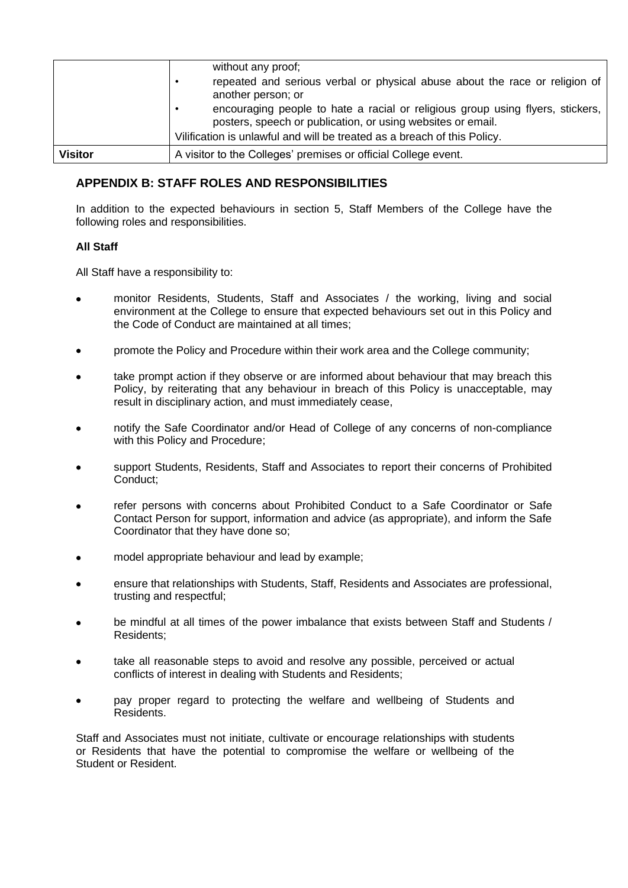|                | without any proof;<br>repeated and serious verbal or physical abuse about the race or religion of<br>٠<br>another person; or<br>encouraging people to hate a racial or religious group using flyers, stickers,<br>٠ |
|----------------|---------------------------------------------------------------------------------------------------------------------------------------------------------------------------------------------------------------------|
|                | posters, speech or publication, or using websites or email.<br>Vilification is unlawful and will be treated as a breach of this Policy.                                                                             |
| <b>Visitor</b> | A visitor to the Colleges' premises or official College event.                                                                                                                                                      |

## <span id="page-13-0"></span>**APPENDIX B: STAFF ROLES AND RESPONSIBILITIES**

In addition to the expected behaviours in section [5,](#page-4-1) Staff Members of the College have the following roles and responsibilities.

## **All Staff**

All Staff have a responsibility to:

- monitor Residents, Students, Staff and Associates / the working, living and social environment at the College to ensure that expected behaviours set out in this Policy and the Code of Conduct are maintained at all times;
- promote the Policy and Procedure within their work area and the College community;
- take prompt action if they observe or are informed about behaviour that may breach this Policy, by reiterating that any behaviour in breach of this Policy is unacceptable, may result in disciplinary action, and must immediately cease,
- notify the Safe Coordinator and/or Head of College of any concerns of non-compliance with this Policy and Procedure;
- support Students, Residents, Staff and Associates to report their concerns of Prohibited Conduct;
- refer persons with concerns about Prohibited Conduct to a Safe Coordinator or Safe Contact Person for support, information and advice (as appropriate), and inform the Safe Coordinator that they have done so;
- model appropriate behaviour and lead by example;
- ensure that relationships with Students, Staff, Residents and Associates are professional, trusting and respectful;
- be mindful at all times of the power imbalance that exists between Staff and Students / Residents;
- take all reasonable steps to avoid and resolve any possible, perceived or actual conflicts of interest in dealing with Students and Residents;
- pay proper regard to protecting the welfare and wellbeing of Students and Residents.

Staff and Associates must not initiate, cultivate or encourage relationships with students or Residents that have the potential to compromise the welfare or wellbeing of the Student or Resident.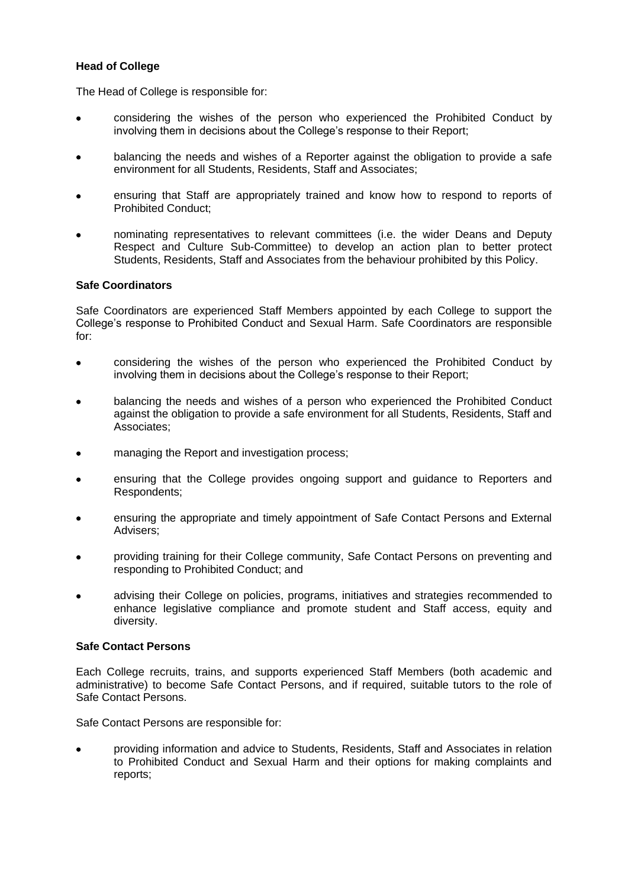## **Head of College**

The Head of College is responsible for:

- considering the wishes of the person who experienced the Prohibited Conduct by involving them in decisions about the College's response to their Report;
- balancing the needs and wishes of a Reporter against the obligation to provide a safe environment for all Students, Residents, Staff and Associates;
- ensuring that Staff are appropriately trained and know how to respond to reports of Prohibited Conduct;
- nominating representatives to relevant committees (i.e. the wider Deans and Deputy Respect and Culture Sub-Committee) to develop an action plan to better protect Students, Residents, Staff and Associates from the behaviour prohibited by this Policy.

## **Safe Coordinators**

Safe Coordinators are experienced Staff Members appointed by each College to support the College's response to Prohibited Conduct and Sexual Harm. Safe Coordinators are responsible for:

- considering the wishes of the person who experienced the Prohibited Conduct by involving them in decisions about the College's response to their Report;
- balancing the needs and wishes of a person who experienced the Prohibited Conduct against the obligation to provide a safe environment for all Students, Residents, Staff and Associates;
- managing the Report and investigation process;
- ensuring that the College provides ongoing support and guidance to Reporters and Respondents;
- ensuring the appropriate and timely appointment of Safe Contact Persons and External Advisers;
- providing training for their College community, Safe Contact Persons on preventing and responding to Prohibited Conduct; and
- advising their College on policies, programs, initiatives and strategies recommended to enhance legislative compliance and promote student and Staff access, equity and diversity.

## **Safe Contact Persons**

Each College recruits, trains, and supports experienced Staff Members (both academic and administrative) to become Safe Contact Persons, and if required, suitable tutors to the role of Safe Contact Persons.

Safe Contact Persons are responsible for:

• providing information and advice to Students, Residents, Staff and Associates in relation to Prohibited Conduct and Sexual Harm and their options for making complaints and reports;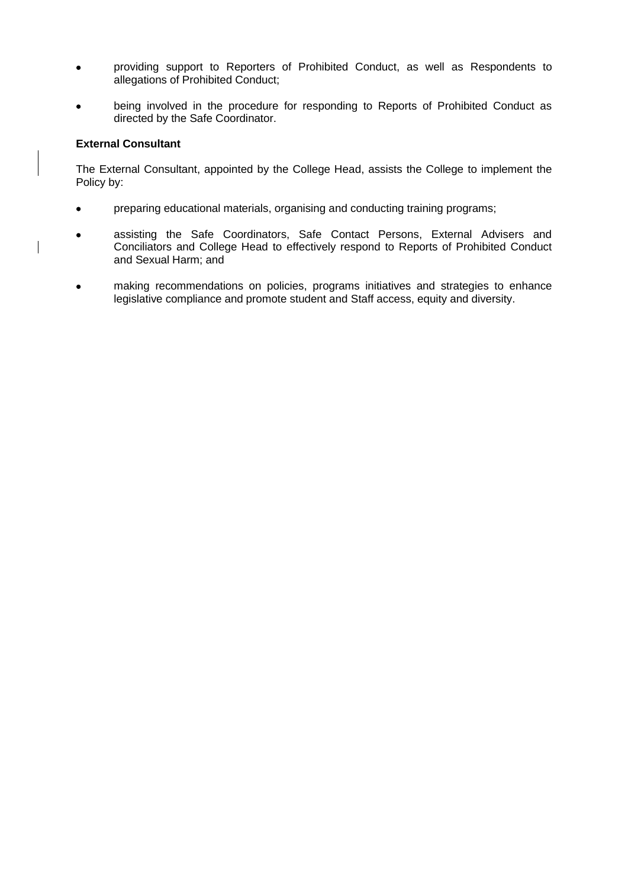- providing support to Reporters of Prohibited Conduct, as well as Respondents to allegations of Prohibited Conduct;
- being involved in the procedure for responding to Reports of Prohibited Conduct as directed by the Safe Coordinator.

## **External Consultant**

The External Consultant, appointed by the College Head, assists the College to implement the Policy by:

- preparing educational materials, organising and conducting training programs;
- assisting the Safe Coordinators, Safe Contact Persons, External Advisers and Conciliators and College Head to effectively respond to Reports of Prohibited Conduct and Sexual Harm; and
- making recommendations on policies, programs initiatives and strategies to enhance legislative compliance and promote student and Staff access, equity and diversity.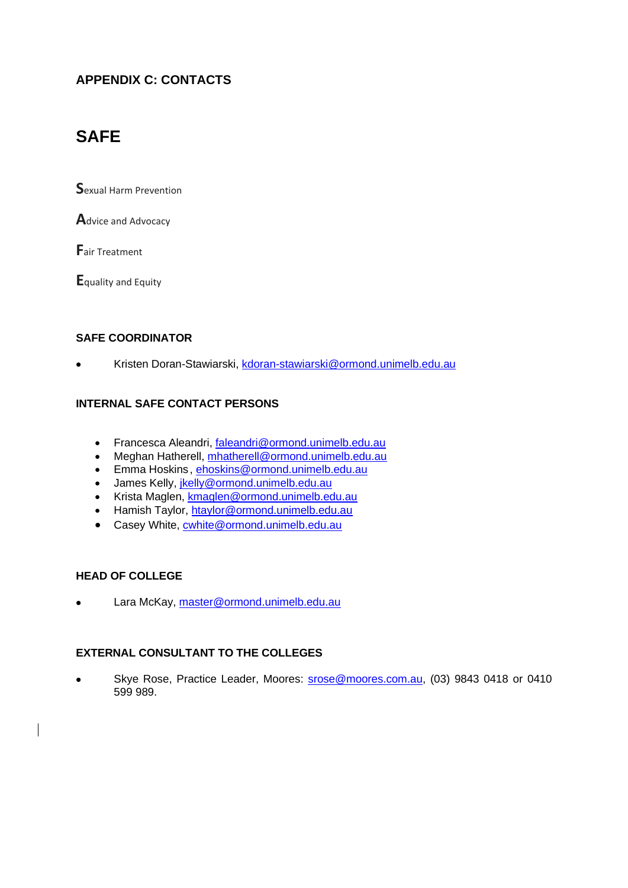## <span id="page-16-0"></span>**APPENDIX C: CONTACTS**

## **SAFE**

**S**exual Harm Prevention

**A**dvice and Advocacy

**F**air Treatment

**E**quality and Equity

## **SAFE COORDINATOR**

• Kristen Doran-Stawiarski, [kdoran-stawiarski@ormond.unimelb.edu.au](mailto:kdoran-stawiarski@ormond.unimelb.edu.au)

## **INTERNAL SAFE CONTACT PERSONS**

- Francesca Aleandri, [faleandri@ormond.unimelb.edu.au](mailto:faleandri@ormond.unimelb.edu.au)
- Meghan Hatherell, [mhatherell@ormond.unimelb.edu.au](mailto:mhatherell@ormond.unimelb.edu.au)
- Emma Hoskins, [ehoskins@ormond.unimelb.edu.au](mailto:ehoskins@ormond.unimelb.edu.au)
- James Kelly, *jkelly@ormond.unimelb.edu.au*
- Krista Maglen, [kmaglen@ormond.unimelb.edu.au](mailto:kmaglen@ormond.unimelb.edu.au)
- Hamish Taylor, [htaylor@ormond.unimelb.edu.au](mailto:htaylor@ormond.unimelb.edu.au)
- Casey White, [cwhite@ormond.unimelb.edu.au](mailto:cwhite@ormond.unimelb.edu.au)

## **HEAD OF COLLEGE**

• Lara McKay, [master@ormond.unimelb.edu.au](mailto:master@ormond.unimelb.edu.au)

## **EXTERNAL CONSULTANT TO THE COLLEGES**

Skye Rose, Practice Leader, Moores: [srose@moores.com.au,](mailto:srose@moores.com.au) (03) 9843 0418 or 0410 599 989.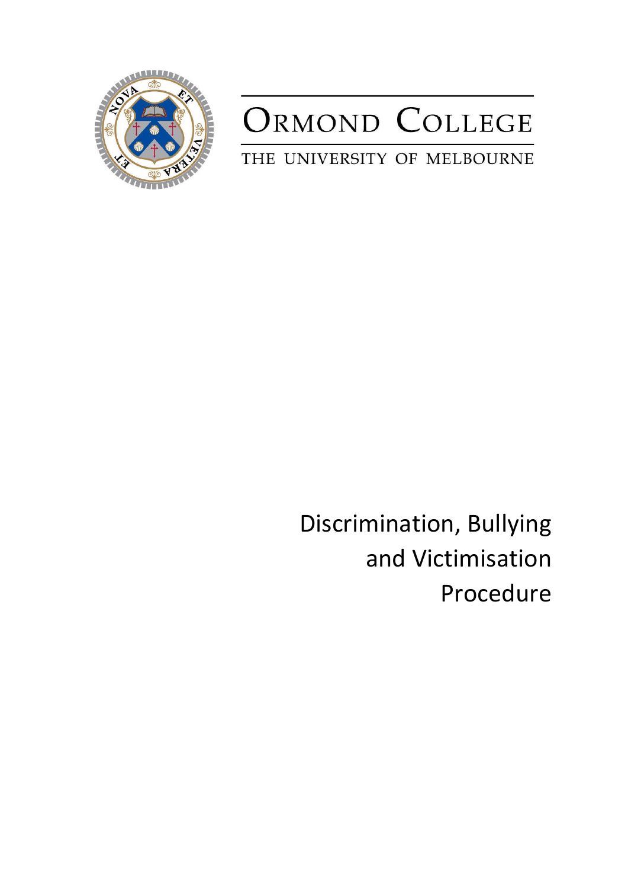

# ORMOND COLLEGE

THE UNIVERSITY OF MELBOURNE

Discrimination, Bullying and Victimisation Procedure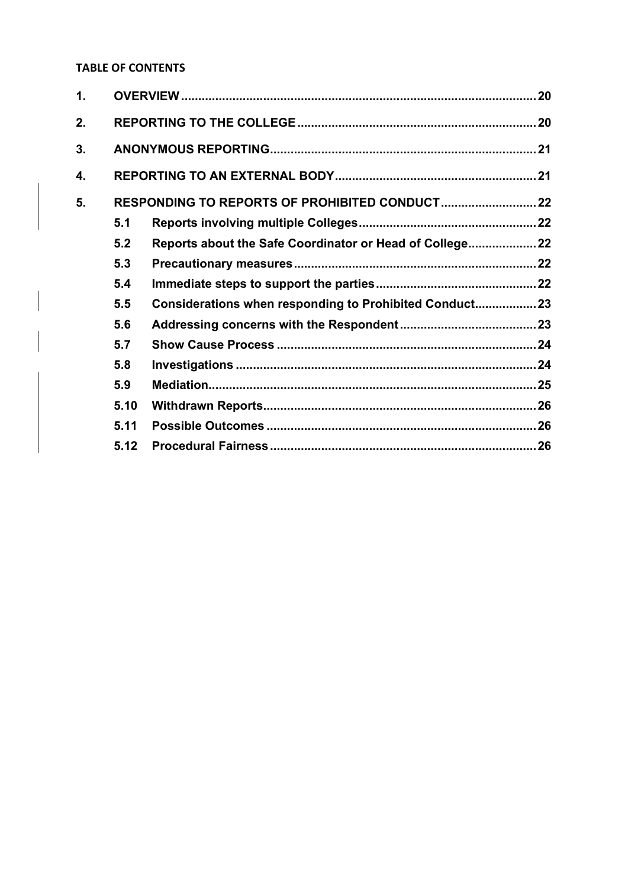## **TABLE OF CONTENTS**

| 1. |      |                                                          |  |
|----|------|----------------------------------------------------------|--|
| 2. |      |                                                          |  |
| 3. |      |                                                          |  |
| 4. |      |                                                          |  |
| 5. |      |                                                          |  |
|    | 5.1  |                                                          |  |
|    | 5.2  | Reports about the Safe Coordinator or Head of College 22 |  |
|    | 5.3  |                                                          |  |
|    | 5.4  |                                                          |  |
|    | 5.5  | Considerations when responding to Prohibited Conduct 23  |  |
|    | 5.6  |                                                          |  |
|    | 5.7  |                                                          |  |
|    | 5.8  |                                                          |  |
|    | 5.9  |                                                          |  |
|    | 5.10 |                                                          |  |
|    | 5.11 |                                                          |  |
|    | 5.12 |                                                          |  |
|    |      |                                                          |  |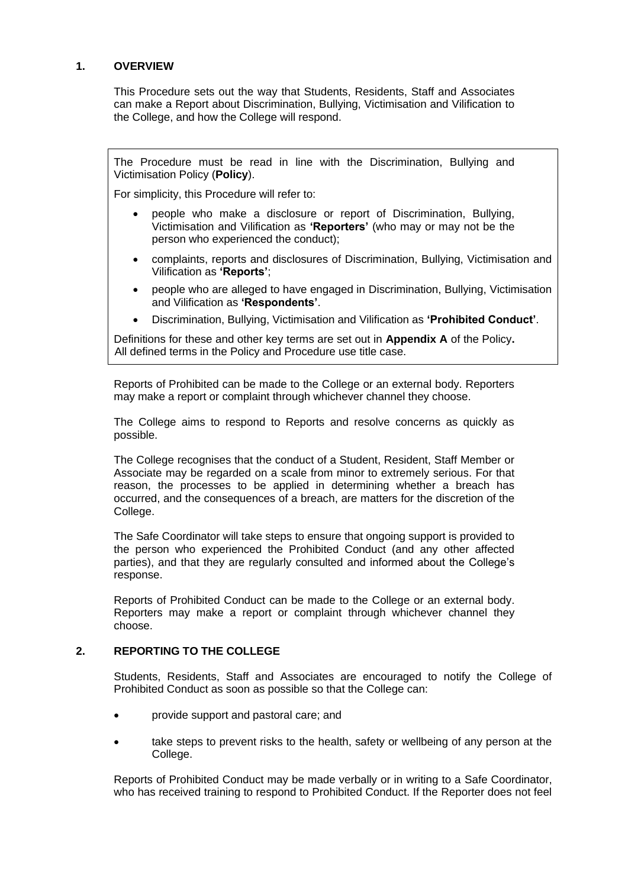## <span id="page-19-0"></span>**1. OVERVIEW**

This Procedure sets out the way that Students, Residents, Staff and Associates can make a Report about Discrimination, Bullying, Victimisation and Vilification to the College, and how the College will respond.

The Procedure must be read in line with the Discrimination, Bullying and Victimisation Policy (**Policy**).

For simplicity, this Procedure will refer to:

- people who make a disclosure or report of Discrimination, Bullying, Victimisation and Vilification as **'Reporters'** (who may or may not be the person who experienced the conduct);
- complaints, reports and disclosures of Discrimination, Bullying, Victimisation and Vilification as **'Reports'**;
- people who are alleged to have engaged in Discrimination, Bullying, Victimisation and Vilification as **'Respondents'**.
- Discrimination, Bullying, Victimisation and Vilification as **'Prohibited Conduct'**.

Definitions for these and other key terms are set out in **Appendix A** of the Policy**.**  All defined terms in the Policy and Procedure use title case.

Reports of Prohibited can be made to the College or an external body. Reporters may make a report or complaint through whichever channel they choose.

The College aims to respond to Reports and resolve concerns as quickly as possible.

The College recognises that the conduct of a Student, Resident, Staff Member or Associate may be regarded on a scale from minor to extremely serious. For that reason, the processes to be applied in determining whether a breach has occurred, and the consequences of a breach, are matters for the discretion of the College.

The Safe Coordinator will take steps to ensure that ongoing support is provided to the person who experienced the Prohibited Conduct (and any other affected parties), and that they are regularly consulted and informed about the College's response.

Reports of Prohibited Conduct can be made to the College or an external body. Reporters may make a report or complaint through whichever channel they choose.

## <span id="page-19-1"></span>**2. REPORTING TO THE COLLEGE**

Students, Residents, Staff and Associates are encouraged to notify the College of Prohibited Conduct as soon as possible so that the College can:

- provide support and pastoral care; and
- take steps to prevent risks to the health, safety or wellbeing of any person at the College.

Reports of Prohibited Conduct may be made verbally or in writing to a Safe Coordinator, who has received training to respond to Prohibited Conduct. If the Reporter does not feel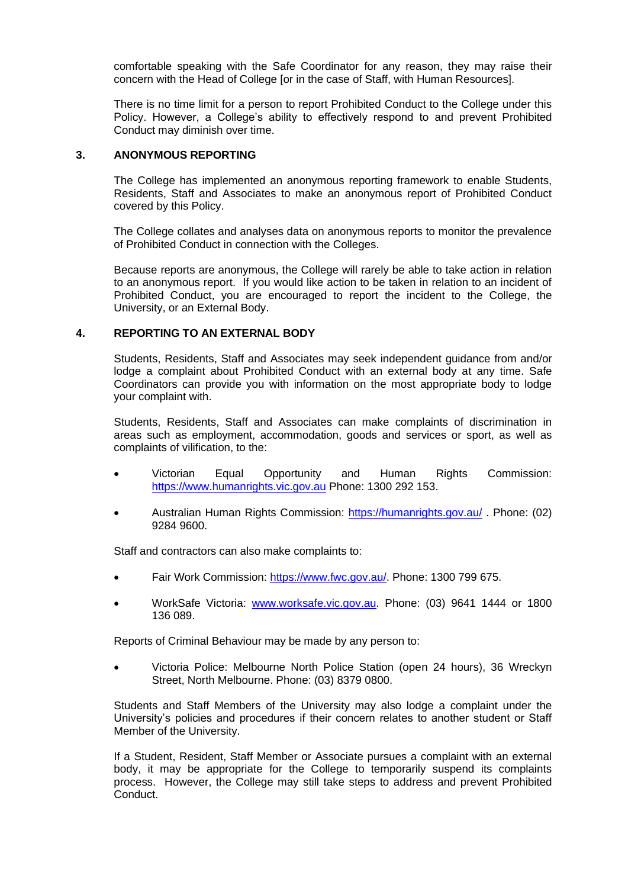comfortable speaking with the Safe Coordinator for any reason, they may raise their concern with the Head of College [or in the case of Staff, with Human Resources].

There is no time limit for a person to report Prohibited Conduct to the College under this Policy. However, a College's ability to effectively respond to and prevent Prohibited Conduct may diminish over time.

#### <span id="page-20-0"></span>**3. ANONYMOUS REPORTING**

The College has implemented an anonymous reporting framework to enable Students, Residents, Staff and Associates to make an anonymous report of Prohibited Conduct covered by this Policy.

The College collates and analyses data on anonymous reports to monitor the prevalence of Prohibited Conduct in connection with the Colleges.

Because reports are anonymous, the College will rarely be able to take action in relation to an anonymous report. If you would like action to be taken in relation to an incident of Prohibited Conduct, you are encouraged to report the incident to the College, the University, or an External Body.

#### <span id="page-20-1"></span>**4. REPORTING TO AN EXTERNAL BODY**

Students, Residents, Staff and Associates may seek independent guidance from and/or lodge a complaint about Prohibited Conduct with an external body at any time. Safe Coordinators can provide you with information on the most appropriate body to lodge your complaint with.

Students, Residents, Staff and Associates can make complaints of discrimination in areas such as employment, accommodation, goods and services or sport, as well as complaints of vilification, to the:

- Victorian Equal Opportunity and Human Rights Commission: [https://www.humanrights.vic.gov.au](https://www.humanrights.vic.gov.au/) Phone: 1300 292 153.
- Australian Human Rights Commission:<https://humanrights.gov.au/> . Phone: (02) 9284 9600.

Staff and contractors can also make complaints to:

- Fair Work Commission: [https://www.fwc.gov.au/.](https://www.fwc.gov.au/) Phone: 1300 799 675.
- WorkSafe Victoria: [www.worksafe.vic.gov.au.](http://www.worksafe.vic.gov.au/) Phone: (03) 9641 1444 or 1800 136 089.

Reports of Criminal Behaviour may be made by any person to:

• Victoria Police: Melbourne North Police Station (open 24 hours), 36 Wreckyn Street, North Melbourne. Phone: (03) 8379 0800.

Students and Staff Members of the University may also lodge a complaint under the University's policies and procedures if their concern relates to another student or Staff Member of the University.

If a Student, Resident, Staff Member or Associate pursues a complaint with an external body, it may be appropriate for the College to temporarily suspend its complaints process. However, the College may still take steps to address and prevent Prohibited **Conduct**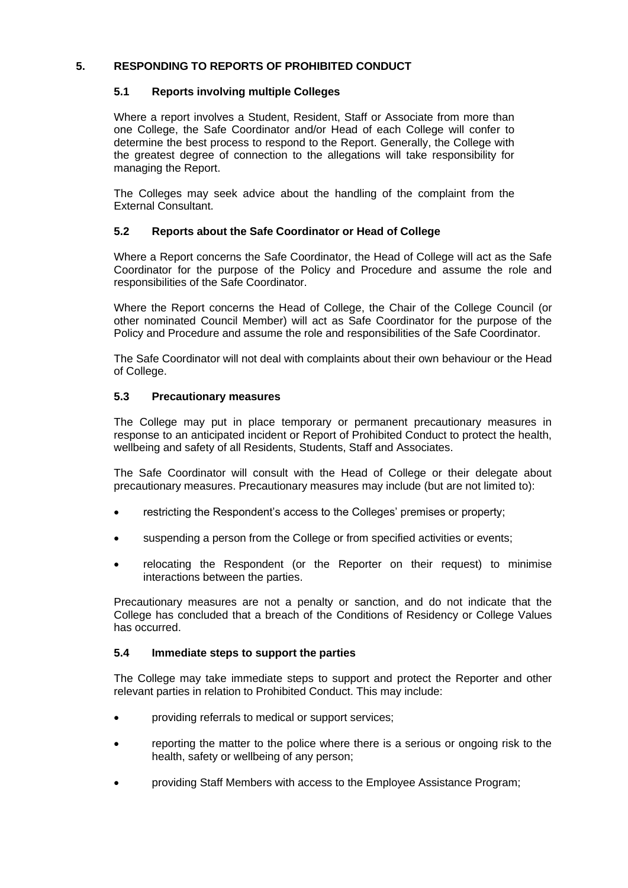## <span id="page-21-1"></span><span id="page-21-0"></span>**5. RESPONDING TO REPORTS OF PROHIBITED CONDUCT**

## **5.1 Reports involving multiple Colleges**

Where a report involves a Student, Resident, Staff or Associate from more than one College, the Safe Coordinator and/or Head of each College will confer to determine the best process to respond to the Report. Generally, the College with the greatest degree of connection to the allegations will take responsibility for managing the Report.

The Colleges may seek advice about the handling of the complaint from the External Consultant.

## <span id="page-21-2"></span>**5.2 Reports about the Safe Coordinator or Head of College**

Where a Report concerns the Safe Coordinator, the Head of College will act as the Safe Coordinator for the purpose of the Policy and Procedure and assume the role and responsibilities of the Safe Coordinator.

Where the Report concerns the Head of College, the Chair of the College Council (or other nominated Council Member) will act as Safe Coordinator for the purpose of the Policy and Procedure and assume the role and responsibilities of the Safe Coordinator.

The Safe Coordinator will not deal with complaints about their own behaviour or the Head of College.

## <span id="page-21-3"></span>**5.3 Precautionary measures**

The College may put in place temporary or permanent precautionary measures in response to an anticipated incident or Report of Prohibited Conduct to protect the health, wellbeing and safety of all Residents, Students, Staff and Associates.

The Safe Coordinator will consult with the Head of College or their delegate about precautionary measures. Precautionary measures may include (but are not limited to):

- restricting the Respondent's access to the Colleges' premises or property;
- suspending a person from the College or from specified activities or events;
- relocating the Respondent (or the Reporter on their request) to minimise interactions between the parties.

Precautionary measures are not a penalty or sanction, and do not indicate that the College has concluded that a breach of the Conditions of Residency or College Values has occurred.

## <span id="page-21-4"></span>**5.4 Immediate steps to support the parties**

The College may take immediate steps to support and protect the Reporter and other relevant parties in relation to Prohibited Conduct. This may include:

- providing referrals to medical or support services;
- reporting the matter to the police where there is a serious or ongoing risk to the health, safety or wellbeing of any person;
- providing Staff Members with access to the Employee Assistance Program;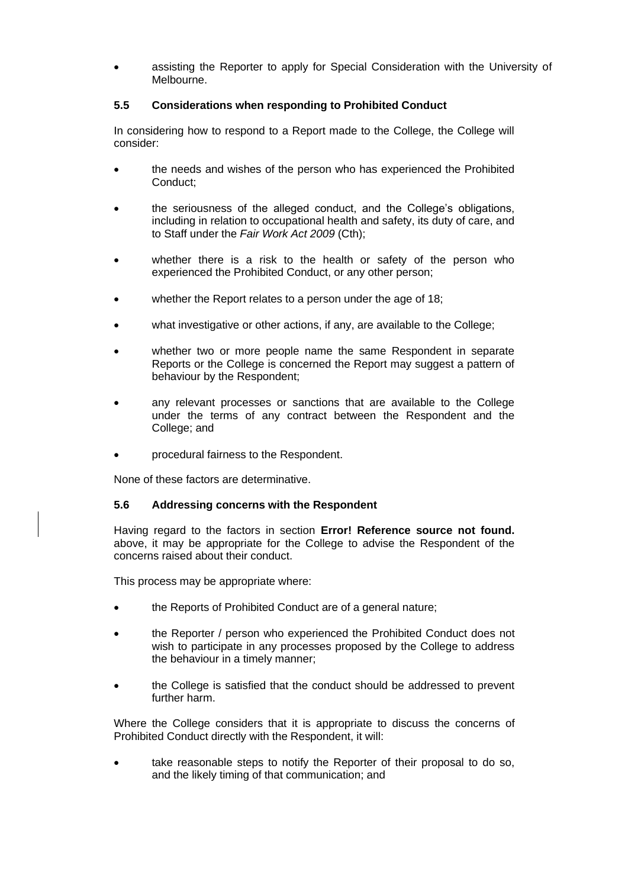• assisting the Reporter to apply for Special Consideration with the University of Melbourne.

## <span id="page-22-0"></span>**5.5 Considerations when responding to Prohibited Conduct**

In considering how to respond to a Report made to the College, the College will consider:

- the needs and wishes of the person who has experienced the Prohibited Conduct;
- the seriousness of the alleged conduct, and the College's obligations, including in relation to occupational health and safety, its duty of care, and to Staff under the *Fair Work Act 2009* (Cth);
- whether there is a risk to the health or safety of the person who experienced the Prohibited Conduct, or any other person;
- whether the Report relates to a person under the age of 18;
- what investigative or other actions, if any, are available to the College;
- whether two or more people name the same Respondent in separate Reports or the College is concerned the Report may suggest a pattern of behaviour by the Respondent;
- any relevant processes or sanctions that are available to the College under the terms of any contract between the Respondent and the College; and
- procedural fairness to the Respondent.

<span id="page-22-1"></span>None of these factors are determinative.

## **5.6 Addressing concerns with the Respondent**

Having regard to the factors in section **Error! Reference source not found.** above, it may be appropriate for the College to advise the Respondent of the concerns raised about their conduct.

This process may be appropriate where:

- the Reports of Prohibited Conduct are of a general nature;
- the Reporter / person who experienced the Prohibited Conduct does not wish to participate in any processes proposed by the College to address the behaviour in a timely manner;
- the College is satisfied that the conduct should be addressed to prevent further harm.

Where the College considers that it is appropriate to discuss the concerns of Prohibited Conduct directly with the Respondent, it will:

take reasonable steps to notify the Reporter of their proposal to do so, and the likely timing of that communication; and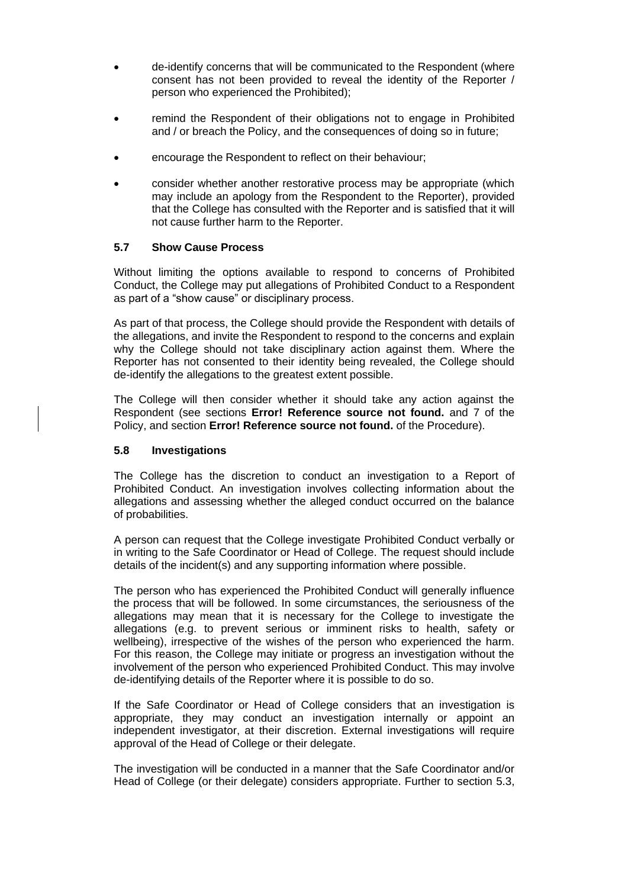- de-identify concerns that will be communicated to the Respondent (where consent has not been provided to reveal the identity of the Reporter / person who experienced the Prohibited);
- remind the Respondent of their obligations not to engage in Prohibited and / or breach the Policy, and the consequences of doing so in future;
- encourage the Respondent to reflect on their behaviour;
- consider whether another restorative process may be appropriate (which may include an apology from the Respondent to the Reporter), provided that the College has consulted with the Reporter and is satisfied that it will not cause further harm to the Reporter.

## <span id="page-23-0"></span>**5.7 Show Cause Process**

Without limiting the options available to respond to concerns of Prohibited Conduct, the College may put allegations of Prohibited Conduct to a Respondent as part of a "show cause" or disciplinary process.

As part of that process, the College should provide the Respondent with details of the allegations, and invite the Respondent to respond to the concerns and explain why the College should not take disciplinary action against them. Where the Reporter has not consented to their identity being revealed, the College should de-identify the allegations to the greatest extent possible.

The College will then consider whether it should take any action against the Respondent (see sections **Error! Reference source not found.** and [7](#page-6-0) of the Policy, and section **Error! Reference source not found.** of the Procedure).

## <span id="page-23-1"></span>**5.8 Investigations**

The College has the discretion to conduct an investigation to a Report of Prohibited Conduct. An investigation involves collecting information about the allegations and assessing whether the alleged conduct occurred on the balance of probabilities.

A person can request that the College investigate Prohibited Conduct verbally or in writing to the Safe Coordinator or Head of College. The request should include details of the incident(s) and any supporting information where possible.

The person who has experienced the Prohibited Conduct will generally influence the process that will be followed. In some circumstances, the seriousness of the allegations may mean that it is necessary for the College to investigate the allegations (e.g. to prevent serious or imminent risks to health, safety or wellbeing), irrespective of the wishes of the person who experienced the harm. For this reason, the College may initiate or progress an investigation without the involvement of the person who experienced Prohibited Conduct. This may involve de-identifying details of the Reporter where it is possible to do so.

If the Safe Coordinator or Head of College considers that an investigation is appropriate, they may conduct an investigation internally or appoint an independent investigator, at their discretion. External investigations will require approval of the Head of College or their delegate.

The investigation will be conducted in a manner that the Safe Coordinator and/or Head of College (or their delegate) considers appropriate. Further to section [5.3,](#page-21-3)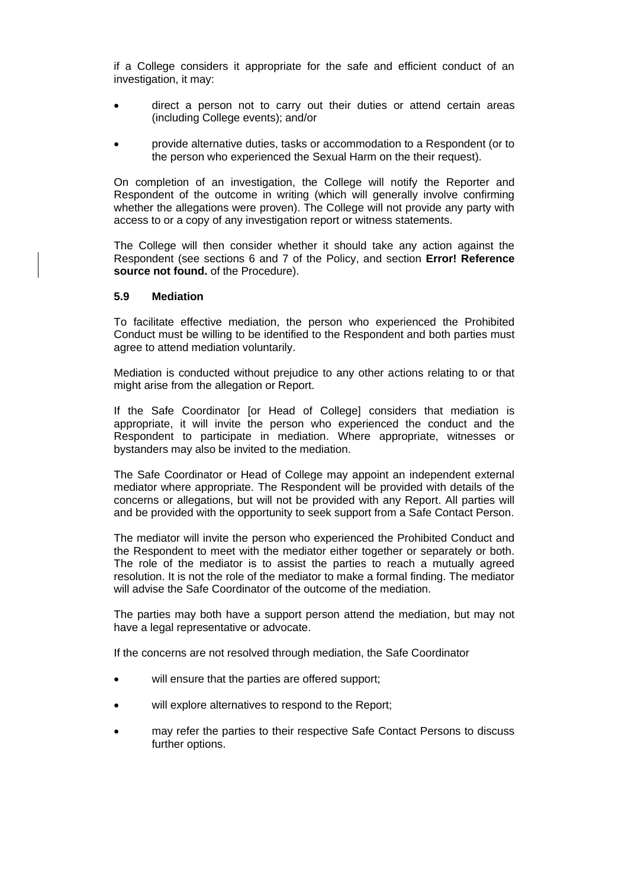if a College considers it appropriate for the safe and efficient conduct of an investigation, it may:

- direct a person not to carry out their duties or attend certain areas (including College events); and/or
- provide alternative duties, tasks or accommodation to a Respondent (or to the person who experienced the Sexual Harm on the their request).

On completion of an investigation, the College will notify the Reporter and Respondent of the outcome in writing (which will generally involve confirming whether the allegations were proven). The College will not provide any party with access to or a copy of any investigation report or witness statements.

The College will then consider whether it should take any action against the Respondent (see sections [6](#page-5-0) and [7](#page-6-0) of the Policy, and section **Error! Reference source not found.** of the Procedure).

#### <span id="page-24-0"></span>**5.9 Mediation**

To facilitate effective mediation, the person who experienced the Prohibited Conduct must be willing to be identified to the Respondent and both parties must agree to attend mediation voluntarily.

Mediation is conducted without prejudice to any other actions relating to or that might arise from the allegation or Report.

If the Safe Coordinator [or Head of College] considers that mediation is appropriate, it will invite the person who experienced the conduct and the Respondent to participate in mediation. Where appropriate, witnesses or bystanders may also be invited to the mediation.

The Safe Coordinator or Head of College may appoint an independent external mediator where appropriate. The Respondent will be provided with details of the concerns or allegations, but will not be provided with any Report. All parties will and be provided with the opportunity to seek support from a Safe Contact Person.

The mediator will invite the person who experienced the Prohibited Conduct and the Respondent to meet with the mediator either together or separately or both. The role of the mediator is to assist the parties to reach a mutually agreed resolution. It is not the role of the mediator to make a formal finding. The mediator will advise the Safe Coordinator of the outcome of the mediation.

The parties may both have a support person attend the mediation, but may not have a legal representative or advocate.

If the concerns are not resolved through mediation, the Safe Coordinator

- will ensure that the parties are offered support;
- will explore alternatives to respond to the Report;
- may refer the parties to their respective Safe Contact Persons to discuss further options.